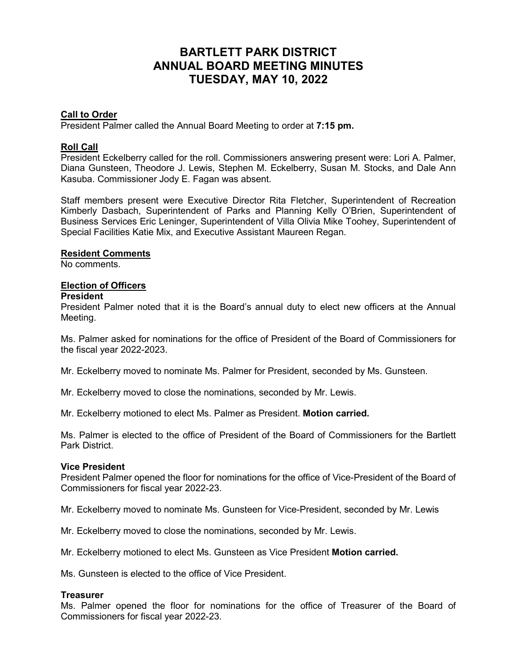# **BARTLETT PARK DISTRICT ANNUAL BOARD MEETING MINUTES TUESDAY, MAY 10, 2022**

## **Call to Order**

President Palmer called the Annual Board Meeting to order at **7:15 pm.**

#### **Roll Call**

President Eckelberry called for the roll. Commissioners answering present were: Lori A. Palmer, Diana Gunsteen, Theodore J. Lewis, Stephen M. Eckelberry, Susan M. Stocks, and Dale Ann Kasuba. Commissioner Jody E. Fagan was absent.

Staff members present were Executive Director Rita Fletcher, Superintendent of Recreation Kimberly Dasbach, Superintendent of Parks and Planning Kelly O'Brien, Superintendent of Business Services Eric Leninger, Superintendent of Villa Olivia Mike Toohey, Superintendent of Special Facilities Katie Mix, and Executive Assistant Maureen Regan.

#### **Resident Comments**

No comments.

# **Election of Officers**

#### **President**

President Palmer noted that it is the Board's annual duty to elect new officers at the Annual Meeting.

Ms. Palmer asked for nominations for the office of President of the Board of Commissioners for the fiscal year 2022-2023.

Mr. Eckelberry moved to nominate Ms. Palmer for President, seconded by Ms. Gunsteen.

Mr. Eckelberry moved to close the nominations, seconded by Mr. Lewis.

Mr. Eckelberry motioned to elect Ms. Palmer as President. **Motion carried.**

Ms. Palmer is elected to the office of President of the Board of Commissioners for the Bartlett Park District.

#### **Vice President**

President Palmer opened the floor for nominations for the office of Vice-President of the Board of Commissioners for fiscal year 2022-23.

Mr. Eckelberry moved to nominate Ms. Gunsteen for Vice-President, seconded by Mr. Lewis

Mr. Eckelberry moved to close the nominations, seconded by Mr. Lewis.

Mr. Eckelberry motioned to elect Ms. Gunsteen as Vice President **Motion carried.**

Ms. Gunsteen is elected to the office of Vice President.

#### **Treasurer**

Ms. Palmer opened the floor for nominations for the office of Treasurer of the Board of Commissioners for fiscal year 2022-23.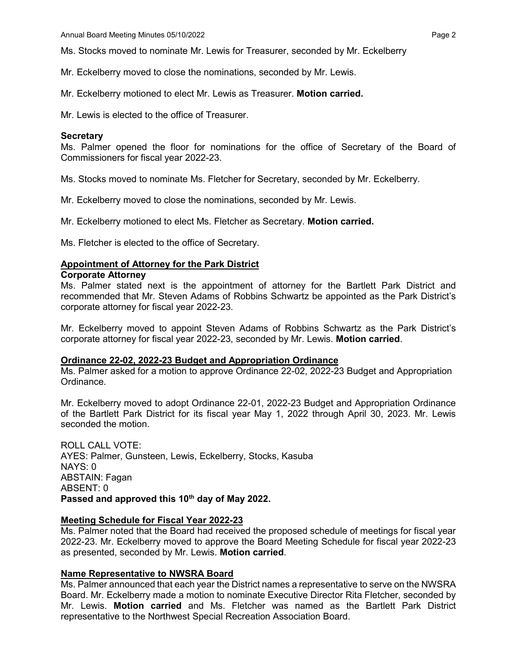Ms. Stocks moved to nominate Mr. Lewis for Treasurer, seconded by Mr. Eckelberry

Mr. Eckelberry moved to close the nominations, seconded by Mr. Lewis.

Mr. Eckelberry motioned to elect Mr. Lewis as Treasurer. **Motion carried.**

Mr. Lewis is elected to the office of Treasurer.

#### **Secretary**

Ms. Palmer opened the floor for nominations for the office of Secretary of the Board of Commissioners for fiscal year 2022-23.

Ms. Stocks moved to nominate Ms. Fletcher for Secretary, seconded by Mr. Eckelberry.

Mr. Eckelberry moved to close the nominations, seconded by Mr. Lewis.

Mr. Eckelberry motioned to elect Ms. Fletcher as Secretary. **Motion carried.**

Ms. Fletcher is elected to the office of Secretary.

## **Appointment of Attorney for the Park District**

## **Corporate Attorney**

Ms. Palmer stated next is the appointment of attorney for the Bartlett Park District and recommended that Mr. Steven Adams of Robbins Schwartz be appointed as the Park District's corporate attorney for fiscal year 2022-23.

Mr. Eckelberry moved to appoint Steven Adams of Robbins Schwartz as the Park District's corporate attorney for fiscal year 2022-23, seconded by Mr. Lewis. **Motion carried**.

#### **Ordinance 22-02, 2022-23 Budget and Appropriation Ordinance**

Ms. Palmer asked for a motion to approve Ordinance 22-02, 2022-23 Budget and Appropriation Ordinance.

Mr. Eckelberry moved to adopt Ordinance 22-01, 2022-23 Budget and Appropriation Ordinance of the Bartlett Park District for its fiscal year May 1, 2022 through April 30, 2023. Mr. Lewis seconded the motion.

ROLL CALL VOTE: AYES: Palmer, Gunsteen, Lewis, Eckelberry, Stocks, Kasuba NAYS: 0 ABSTAIN: Fagan ABSENT: 0 **Passed and approved this 10th day of May 2022.**

#### **Meeting Schedule for Fiscal Year 2022-23**

Ms. Palmer noted that the Board had received the proposed schedule of meetings for fiscal year 2022-23. Mr. Eckelberry moved to approve the Board Meeting Schedule for fiscal year 2022-23 as presented, seconded by Mr. Lewis. **Motion carried**.

# **Name Representative to NWSRA Board**

Ms. Palmer announced that each year the District names a representative to serve on the NWSRA Board. Mr. Eckelberry made a motion to nominate Executive Director Rita Fletcher, seconded by Mr. Lewis. **Motion carried** and Ms. Fletcher was named as the Bartlett Park District representative to the Northwest Special Recreation Association Board.